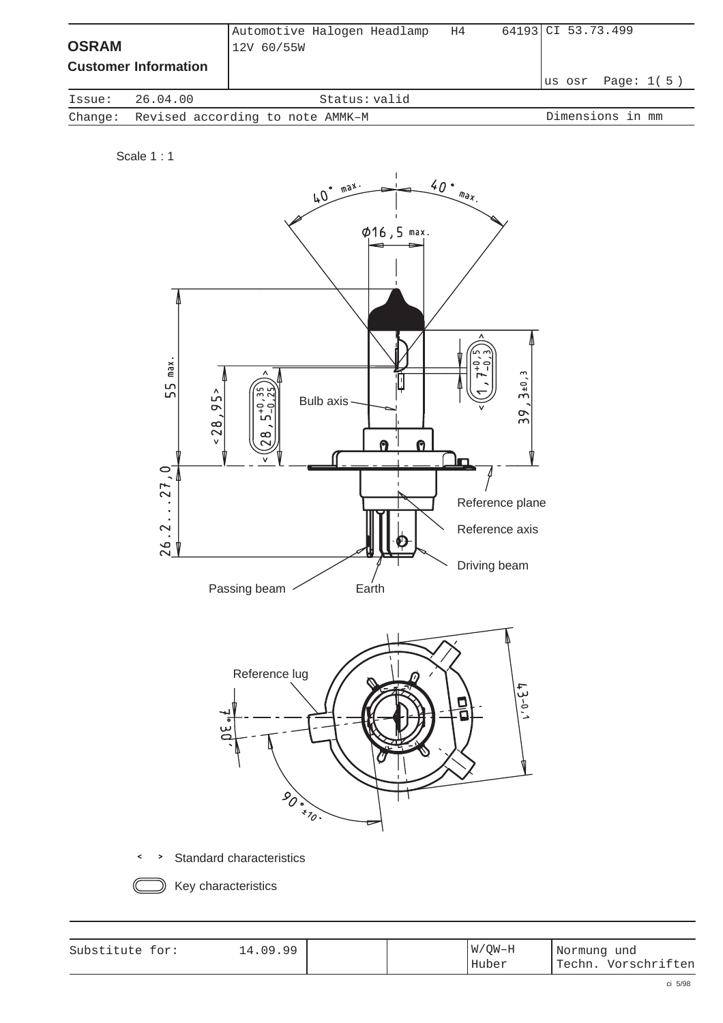| <b>OSRAM</b> | <b>Customer Information</b>              | Automotive Halogen Headlamp<br>12V 60/55W |               | H4 | 64193 CI 53.73.499 |  |                    |  |
|--------------|------------------------------------------|-------------------------------------------|---------------|----|--------------------|--|--------------------|--|
|              |                                          |                                           |               |    |                    |  | lus osr Page: 1(5) |  |
| Issue:       | 26.04.00                                 |                                           | Status: valid |    |                    |  |                    |  |
|              | Change: Revised according to note AMMK-M |                                           |               |    |                    |  | Dimensions in mm   |  |

Scale 1 : 1



Standard characteristics  $\rightarrow$  $\prec$ 

Key characteristics

| Substitute for: | .09.99<br>$\overline{4}$ |  | $W/OW-H$ | Normung und |              |
|-----------------|--------------------------|--|----------|-------------|--------------|
|                 |                          |  | Huber    | ' Techn.    | Vorschriften |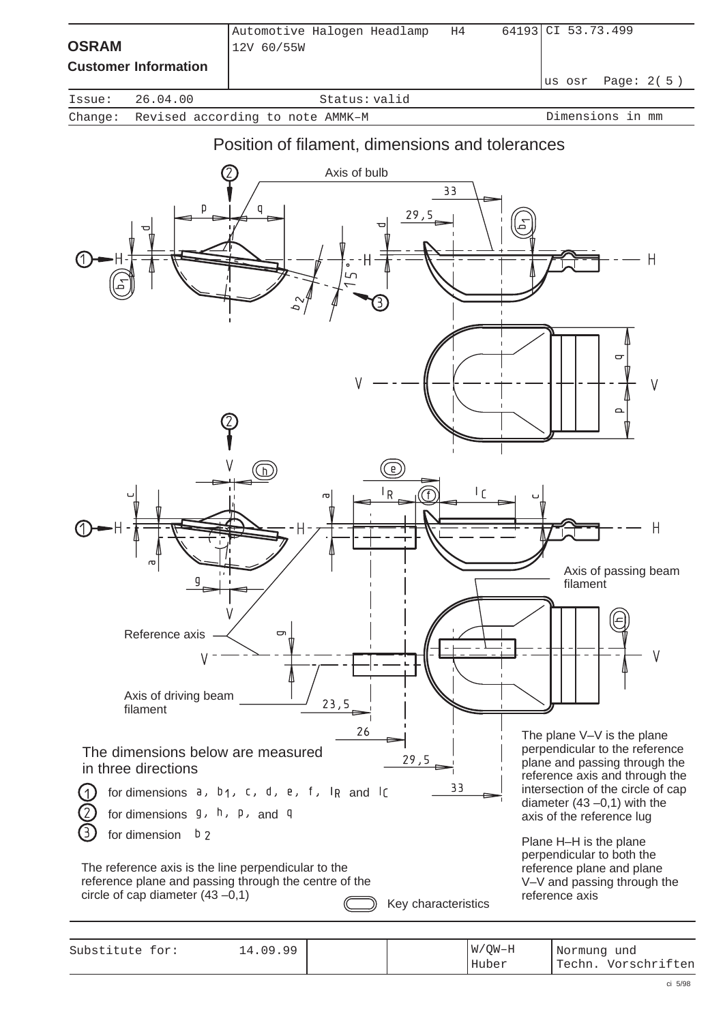| <b>OSRAM</b> |                                  | Automotive Halogen Headlamp<br>12V 60/55W       | H4 | 64193 CI 53.73.499   |
|--------------|----------------------------------|-------------------------------------------------|----|----------------------|
|              | <b>Customer Information</b>      |                                                 |    | Page: 2(5)<br>us osr |
| Issue:       | 26.04.00                         | Status: valid                                   |    |                      |
| Change:      | Revised according to note AMMK-M | Dimensions in mm                                |    |                      |
|              |                                  | Position of filament, dimensions and tolerances |    |                      |



Substitute for: Normung und 14.09.99 Techn. Vorschriften W/QW–H Huber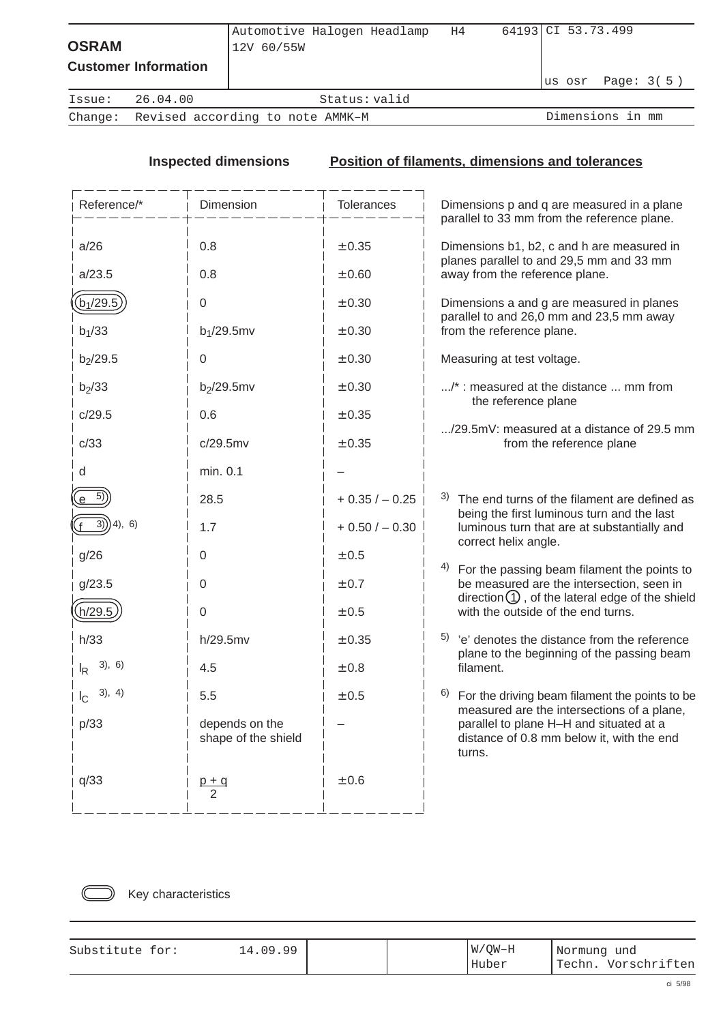| <b>OSRAM</b> | <b>Customer Information</b>              | Automotive Halogen Headlamp<br>12V 60/55W |               | H4 | 64193 CI 53.73.499 | lus osr Page: 3(5) |
|--------------|------------------------------------------|-------------------------------------------|---------------|----|--------------------|--------------------|
| Issue:       | 26.04.00                                 |                                           | Status: valid |    |                    |                    |
|              | Change: Revised according to note AMMK-M |                                           |               |    |                    | Dimensions in mm   |
|              |                                          |                                           |               |    |                    |                    |

## **Inspected dimensions Position of filaments, dimensions and tolerances**

| Reference/*                         | Dimension                             | Tolerances               | Dimensions p and q are measured in a plane<br>parallel to 33 mm from the reference plane.                                |
|-------------------------------------|---------------------------------------|--------------------------|--------------------------------------------------------------------------------------------------------------------------|
| a/26<br>a/23.5                      | 0.8<br>0.8                            | $\pm$ 0.35<br>±0.60      | Dimensions b1, b2, c and h are measured in<br>planes parallel to and 29,5 mm and 33 mm<br>away from the reference plane. |
| $(b_1/29.5)$<br>$b_1/33$            | $\Omega$<br>$b_1/29.5$ mv             | $\pm$ 0.30<br>$\pm$ 0.30 | Dimensions a and g are measured in planes<br>parallel to and 26,0 mm and 23,5 mm away<br>from the reference plane.       |
| $b_2/29.5$                          | 0                                     | ± 0.30                   | Measuring at test voltage.                                                                                               |
| $b_2/33$                            | $b_2/29.5$ mv                         | ± 0.30                   | /*: measured at the distance  mm from<br>the reference plane                                                             |
| c/29.5                              | 0.6                                   | $\pm$ 0.35               | /29.5mV: measured at a distance of 29.5 mm                                                                               |
| c/33                                | c/29.5mv                              | $\pm$ 0.35               | from the reference plane                                                                                                 |
| d                                   | min. 0.1                              |                          |                                                                                                                          |
| $e^{-5}$                            | 28.5                                  | $+0.35/-0.25$            | 3) The end turns of the filament are defined as<br>being the first luminous turn and the last                            |
| 3))<br>(4), 6)                      | 1.7                                   | $+0.50/-0.30$            | luminous turn that are at substantially and<br>correct helix angle.                                                      |
| g/26                                | 0                                     | ± 0.5                    | 4)<br>For the passing beam filament the points to                                                                        |
| g/23.5                              | 0                                     | ± 0.7                    | be measured are the intersection, seen in<br>direction $\bigcirc$ , of the lateral edge of the shield                    |
| h/29.5                              | $\mathbf 0$                           | ± 0.5                    | with the outside of the end turns.                                                                                       |
| h/33                                | h/29.5mv                              | $\pm$ 0.35               | $5$ 'e' denotes the distance from the reference<br>plane to the beginning of the passing beam                            |
| 3), 6)<br>lŖ                        | 4.5                                   | $\pm$ 0.8                | filament.                                                                                                                |
| 3), 4)<br>$\mathsf{I}_{\mathsf{C}}$ | 5.5                                   | $\pm$ 0.5                | 6)<br>For the driving beam filament the points to be<br>measured are the intersections of a plane,                       |
| p/33                                | depends on the<br>shape of the shield |                          | parallel to plane H-H and situated at a<br>distance of 0.8 mm below it, with the end<br>turns.                           |
| q/33                                | $p + q$<br>2                          | ±0.6                     |                                                                                                                          |



Key characteristics

| Substitute for: | 09.99<br>4 |  | W/OW-H | Normung und |              |
|-----------------|------------|--|--------|-------------|--------------|
|                 |            |  | Huber  | 'Techn.     | Vorschriften |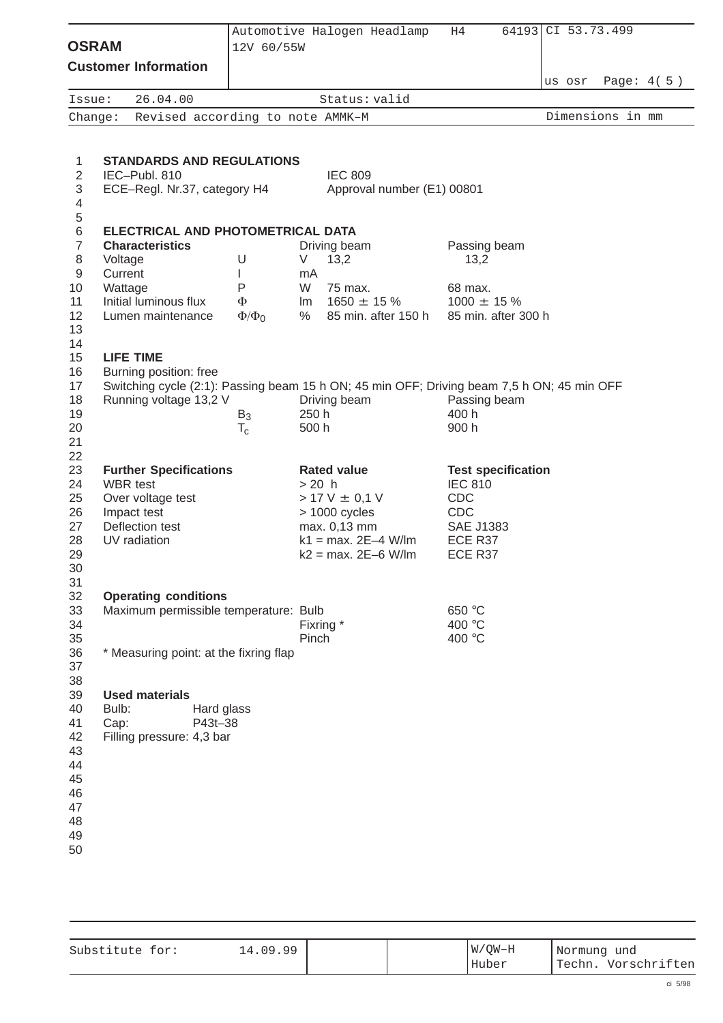| <b>OSRAM</b>                                                   |          |                                               |            | Automotive Halogen Headlamp<br>12V 60/55W |         | H4                                                                                         | 64193                     | CI 53.73.499 |        |                  |  |
|----------------------------------------------------------------|----------|-----------------------------------------------|------------|-------------------------------------------|---------|--------------------------------------------------------------------------------------------|---------------------------|--------------|--------|------------------|--|
|                                                                |          | <b>Customer Information</b>                   |            |                                           |         |                                                                                            |                           |              |        |                  |  |
|                                                                |          |                                               |            |                                           |         |                                                                                            |                           |              | us osr | Page: $4(5)$     |  |
| Issue:                                                         |          | 26.04.00                                      |            | Revised according to note AMMK-M          |         | Status: valid                                                                              |                           |              |        | Dimensions in mm |  |
| Change:                                                        |          |                                               |            |                                           |         |                                                                                            |                           |              |        |                  |  |
| 1                                                              |          |                                               |            | <b>STANDARDS AND REGULATIONS</b>          |         |                                                                                            |                           |              |        |                  |  |
| $\overline{2}$<br>3<br>$\overline{\mathcal{A}}$<br>$\,$ 5 $\,$ |          | IEC-Publ. 810<br>ECE-Regl. Nr.37, category H4 |            |                                           |         | <b>IEC 809</b><br>Approval number (E1) 00801                                               |                           |              |        |                  |  |
| 6                                                              |          |                                               |            | ELECTRICAL AND PHOTOMETRICAL DATA         |         |                                                                                            |                           |              |        |                  |  |
| $\overline{7}$                                                 |          | <b>Characteristics</b>                        |            |                                           |         | Driving beam                                                                               | Passing beam              |              |        |                  |  |
| 8                                                              | Voltage  |                                               |            | U                                         | V       | 13,2                                                                                       | 13,2                      |              |        |                  |  |
| 9                                                              | Current  |                                               |            | L                                         | mA      |                                                                                            |                           |              |        |                  |  |
| 10                                                             | Wattage  |                                               |            | P                                         | W       | 75 max.                                                                                    | 68 max.                   |              |        |                  |  |
| 11                                                             |          | Initial luminous flux                         |            | Φ                                         |         | Im $1650 \pm 15 \%$                                                                        | $1000 \pm 15 \%$          |              |        |                  |  |
| 12<br>13                                                       |          | Lumen maintenance                             |            | $\Phi/\Phi_0$                             | %       | 85 min. after 150 h                                                                        | 85 min. after 300 h       |              |        |                  |  |
| 14<br>15                                                       |          | <b>LIFE TIME</b>                              |            |                                           |         |                                                                                            |                           |              |        |                  |  |
| 16                                                             |          | Burning position: free                        |            |                                           |         |                                                                                            |                           |              |        |                  |  |
| 17                                                             |          |                                               |            |                                           |         | Switching cycle (2:1): Passing beam 15 h ON; 45 min OFF; Driving beam 7,5 h ON; 45 min OFF |                           |              |        |                  |  |
| 18                                                             |          | Running voltage 13,2 V                        |            |                                           |         | Driving beam                                                                               | Passing beam              |              |        |                  |  |
| 19                                                             |          |                                               |            | $B_3$                                     | 250 h   |                                                                                            | 400 h<br>900 h            |              |        |                  |  |
| 20<br>21                                                       |          |                                               |            | $T_c$                                     | 500 h   |                                                                                            |                           |              |        |                  |  |
| 22                                                             |          |                                               |            |                                           |         |                                                                                            |                           |              |        |                  |  |
| 23                                                             |          | <b>Further Specifications</b>                 |            |                                           |         | <b>Rated value</b>                                                                         | <b>Test specification</b> |              |        |                  |  |
| 24                                                             | WBR test |                                               |            |                                           | $>20$ h |                                                                                            | <b>IEC 810</b>            |              |        |                  |  |
| 25                                                             |          | Over voltage test                             |            |                                           |         | $> 17 V \pm 0.1 V$                                                                         | <b>CDC</b>                |              |        |                  |  |
| 26                                                             |          | Impact test                                   |            |                                           |         | > 1000 cycles                                                                              | <b>CDC</b>                |              |        |                  |  |
| 27                                                             |          | Deflection test                               |            |                                           |         | max. 0,13 mm                                                                               | <b>SAE J1383</b>          |              |        |                  |  |
| 28                                                             |          | UV radiation                                  |            |                                           |         | $k1 = max. 2E-4 W/Im$                                                                      | ECE R37                   |              |        |                  |  |
| 29                                                             |          |                                               |            |                                           |         | $k2 = max. 2E-6 W/Im$                                                                      | ECE R37                   |              |        |                  |  |
| $30\,$                                                         |          |                                               |            |                                           |         |                                                                                            |                           |              |        |                  |  |
| 31                                                             |          |                                               |            |                                           |         |                                                                                            |                           |              |        |                  |  |
| 32<br>33                                                       |          | <b>Operating conditions</b>                   |            | Maximum permissible temperature: Bulb     |         |                                                                                            | 650 °C                    |              |        |                  |  |
| 34                                                             |          |                                               |            |                                           |         | Fixring *                                                                                  | 400 °C                    |              |        |                  |  |
| 35                                                             |          |                                               |            |                                           | Pinch   |                                                                                            | 400 °C                    |              |        |                  |  |
| 36                                                             |          |                                               |            | * Measuring point: at the fixring flap    |         |                                                                                            |                           |              |        |                  |  |
| 37                                                             |          |                                               |            |                                           |         |                                                                                            |                           |              |        |                  |  |
| 38                                                             |          |                                               |            |                                           |         |                                                                                            |                           |              |        |                  |  |
| 39                                                             |          | <b>Used materials</b>                         |            |                                           |         |                                                                                            |                           |              |        |                  |  |
| 40                                                             | Bulb:    |                                               | Hard glass |                                           |         |                                                                                            |                           |              |        |                  |  |
| 41                                                             | Cap:     |                                               | P43t-38    |                                           |         |                                                                                            |                           |              |        |                  |  |
| 42                                                             |          | Filling pressure: 4,3 bar                     |            |                                           |         |                                                                                            |                           |              |        |                  |  |
| 43                                                             |          |                                               |            |                                           |         |                                                                                            |                           |              |        |                  |  |
| 44<br>45                                                       |          |                                               |            |                                           |         |                                                                                            |                           |              |        |                  |  |
| 46                                                             |          |                                               |            |                                           |         |                                                                                            |                           |              |        |                  |  |
| 47                                                             |          |                                               |            |                                           |         |                                                                                            |                           |              |        |                  |  |
| 48                                                             |          |                                               |            |                                           |         |                                                                                            |                           |              |        |                  |  |
| 49                                                             |          |                                               |            |                                           |         |                                                                                            |                           |              |        |                  |  |
| 50                                                             |          |                                               |            |                                           |         |                                                                                            |                           |              |        |                  |  |
|                                                                |          |                                               |            |                                           |         |                                                                                            |                           |              |        |                  |  |
|                                                                |          |                                               |            |                                           |         |                                                                                            |                           |              |        |                  |  |

| Substitute for: | 14.09.99 |  | $W/OW-H$ | Normung und |              |
|-----------------|----------|--|----------|-------------|--------------|
|                 |          |  | Huber    | 'Techn.     | Vorschriften |